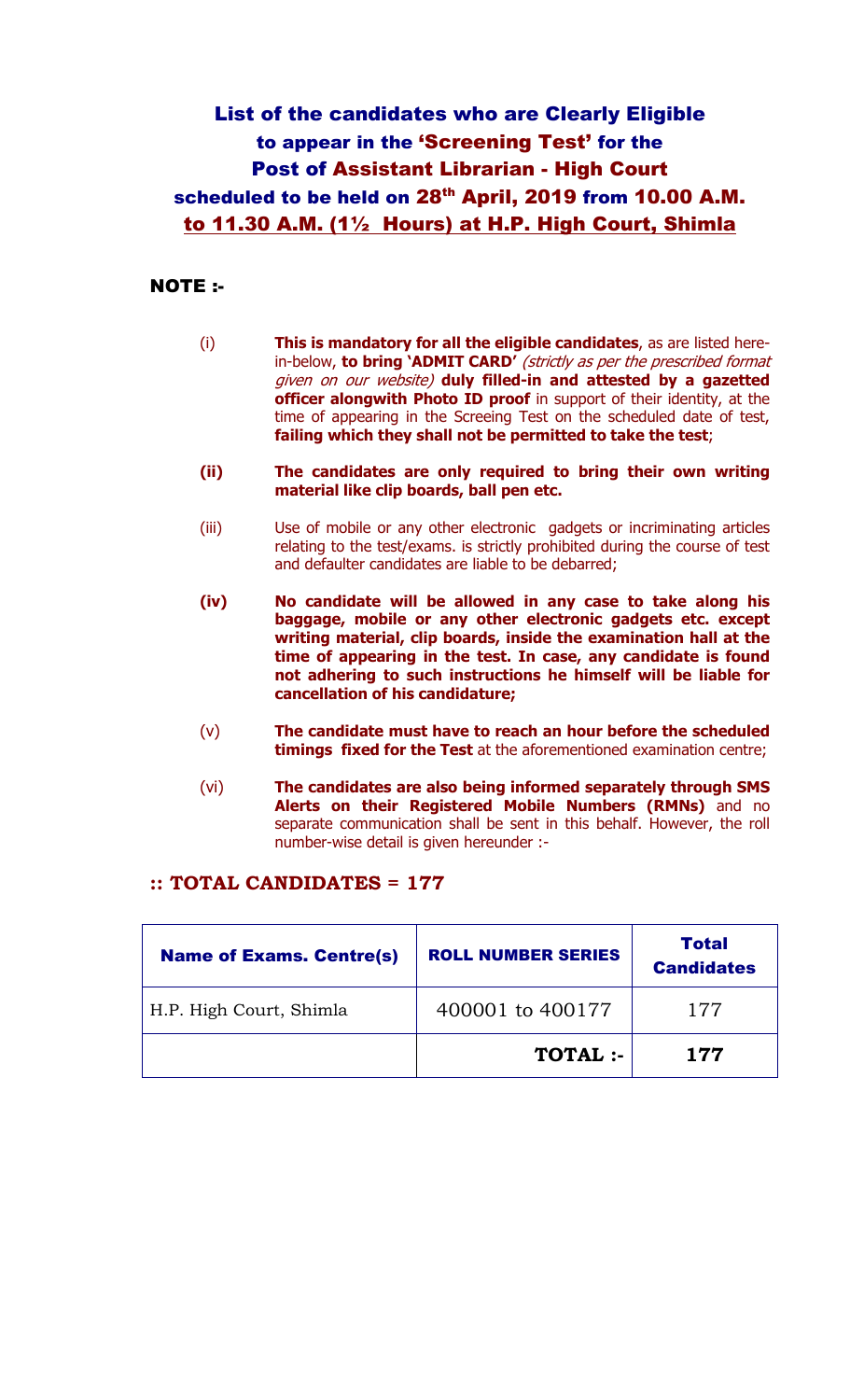## List of the candidates who are Clearly Eligible to appear in the 'Screening Test' for the Post of Assistant Librarian - High Court scheduled to be held on 28<sup>th</sup> April, 2019 from 10.00 A.M. to 11.30 A.M. (1½ Hours) at H.P. High Court, Shimla

## NOTE :-

- (i) This is mandatory for all the eligible candidates, as are listed herein-below, to bring 'ADMIT CARD' (strictly as per the prescribed format given on our website) duly filled-in and attested by a gazetted officer alongwith Photo ID proof in support of their identity, at the time of appearing in the Screeing Test on the scheduled date of test, failing which they shall not be permitted to take the test;
- (ii) The candidates are only required to bring their own writing material like clip boards, ball pen etc.
- (iii) Use of mobile or any other electronic gadgets or incriminating articles relating to the test/exams. is strictly prohibited during the course of test and defaulter candidates are liable to be debarred;
- (iv) No candidate will be allowed in any case to take along his baggage, mobile or any other electronic gadgets etc. except writing material, clip boards, inside the examination hall at the time of appearing in the test. In case, any candidate is found not adhering to such instructions he himself will be liable for cancellation of his candidature;
- (v) The candidate must have to reach an hour before the scheduled timings fixed for the Test at the aforementioned examination centre;
- (vi) The candidates are also being informed separately through SMS Alerts on their Registered Mobile Numbers (RMNs) and no separate communication shall be sent in this behalf. However, the roll number-wise detail is given hereunder :-

## :: TOTAL CANDIDATES = 177

| <b>Name of Exams. Centre(s)</b> | <b>ROLL NUMBER SERIES</b> | Total<br><b>Candidates</b> |  |
|---------------------------------|---------------------------|----------------------------|--|
| H.P. High Court, Shimla         | 400001 to 400177          | 177                        |  |
|                                 | TOTAL :-                  | 177                        |  |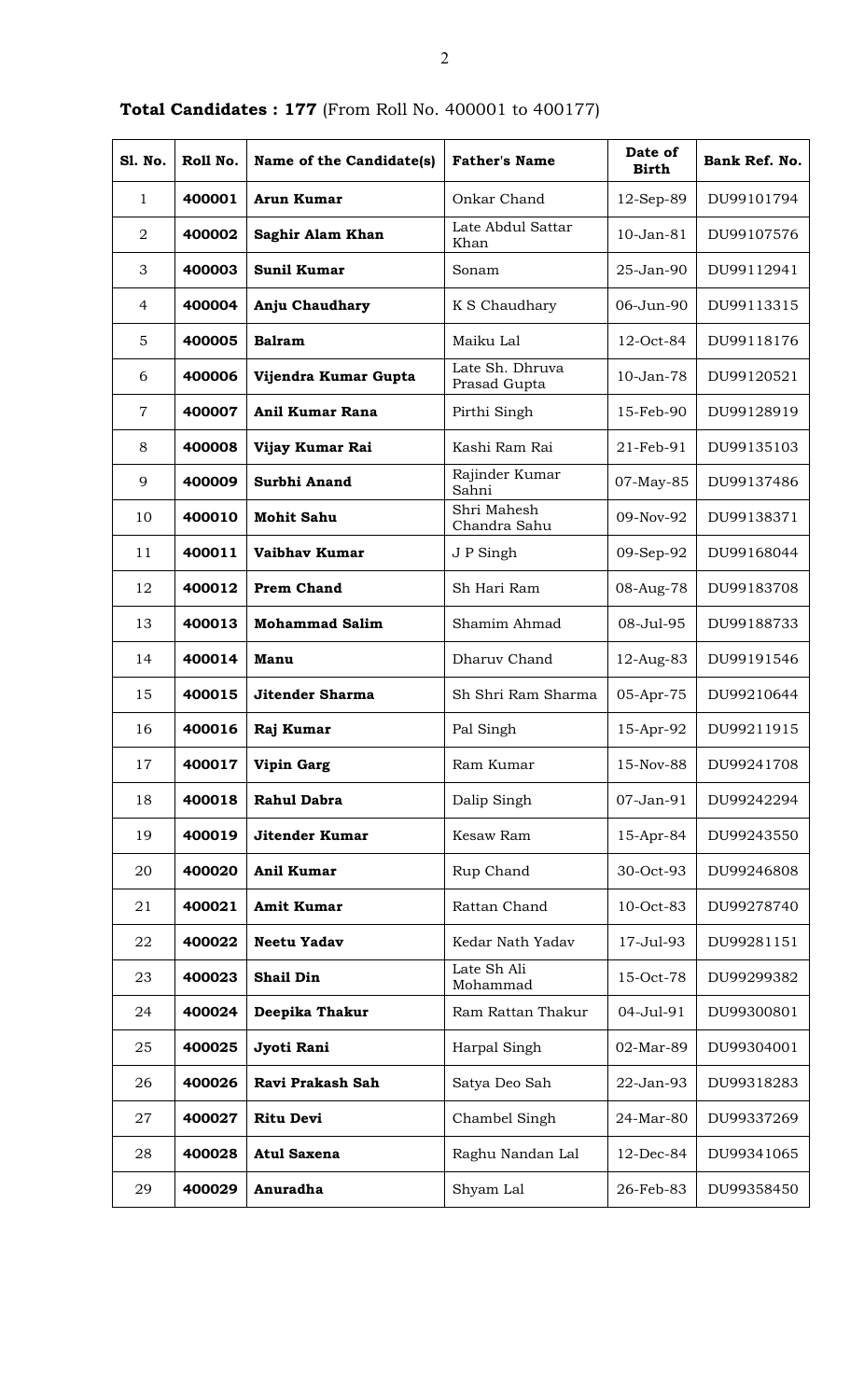| <b>S1. No.</b> | Roll No. | Name of the Candidate(s) | <b>Father's Name</b>            | Date of<br><b>Birth</b> | Bank Ref. No. |
|----------------|----------|--------------------------|---------------------------------|-------------------------|---------------|
| 1              | 400001   | <b>Arun Kumar</b>        | Onkar Chand                     | $12$ -Sep-89            | DU99101794    |
| $\overline{2}$ | 400002   | Saghir Alam Khan         | Late Abdul Sattar<br>Khan       | 10-Jan-81               | DU99107576    |
| 3              | 400003   | <b>Sunil Kumar</b>       | Sonam                           | 25-Jan-90               | DU99112941    |
| $\overline{4}$ | 400004   | Anju Chaudhary           | K S Chaudhary                   | 06-Jun-90               | DU99113315    |
| 5              | 400005   | <b>Balram</b>            | Maiku Lal                       | 12-Oct-84               | DU99118176    |
| 6              | 400006   | Vijendra Kumar Gupta     | Late Sh. Dhruva<br>Prasad Gupta | 10-Jan-78               | DU99120521    |
| $\overline{7}$ | 400007   | Anil Kumar Rana          | Pirthi Singh                    | 15-Feb-90               | DU99128919    |
| 8              | 400008   | Vijay Kumar Rai          | Kashi Ram Rai                   | 21-Feb-91               | DU99135103    |
| 9              | 400009   | Surbhi Anand             | Rajinder Kumar<br>Sahni         | 07-May-85               | DU99137486    |
| 10             | 400010   | <b>Mohit Sahu</b>        | Shri Mahesh<br>Chandra Sahu     | 09-Nov-92               | DU99138371    |
| 11             | 400011   | Vaibhay Kumar            | J P Singh                       | 09-Sep-92               | DU99168044    |
| 12             | 400012   | <b>Prem Chand</b>        | Sh Hari Ram                     | 08-Aug-78               | DU99183708    |
| 13             | 400013   | <b>Mohammad Salim</b>    | Shamim Ahmad                    | 08-Jul-95               | DU99188733    |
| 14             | 400014   | Manu                     | Dharuv Chand                    | 12-Aug-83               | DU99191546    |
| 15             | 400015   | <b>Jitender Sharma</b>   | Sh Shri Ram Sharma              | 05-Apr-75               | DU99210644    |
| 16             | 400016   | Raj Kumar                | Pal Singh                       | 15-Apr-92               | DU99211915    |
| 17             | 400017   | Vipin Garg               | Ram Kumar                       | 15-Nov-88               | DU99241708    |
| 18             | 400018   | <b>Rahul Dabra</b>       | Dalip Singh                     | 07-Jan-91               | DU99242294    |
| 19             | 400019   | <b>Jitender Kumar</b>    | Kesaw Ram                       | 15-Apr-84               | DU99243550    |
| 20             | 400020   | Anil Kumar               | Rup Chand                       | 30-Oct-93               | DU99246808    |
| 21             | 400021   | <b>Amit Kumar</b>        | Rattan Chand                    | 10-Oct-83               | DU99278740    |
| 22             | 400022   | <b>Neetu Yadav</b>       | Kedar Nath Yadav                | 17-Jul-93               | DU99281151    |
| 23             | 400023   | <b>Shail Din</b>         | Late Sh Ali<br>Mohammad         | 15-Oct-78               | DU99299382    |
| 24             | 400024   | Deepika Thakur           | Ram Rattan Thakur               | 04-Jul-91               | DU99300801    |
| 25             | 400025   | Jyoti Rani               | Harpal Singh                    | 02-Mar-89               | DU99304001    |
| 26             | 400026   | Ravi Prakash Sah         | Satya Deo Sah                   | 22-Jan-93               | DU99318283    |
| 27             | 400027   | <b>Ritu Devi</b>         | Chambel Singh                   | 24-Mar-80               | DU99337269    |
| 28             | 400028   | <b>Atul Saxena</b>       | Raghu Nandan Lal                | 12-Dec-84               | DU99341065    |
| 29             | 400029   | Anuradha                 | Shyam Lal                       | 26-Feb-83               | DU99358450    |

Total Candidates : 177 (From Roll No. 400001 to 400177)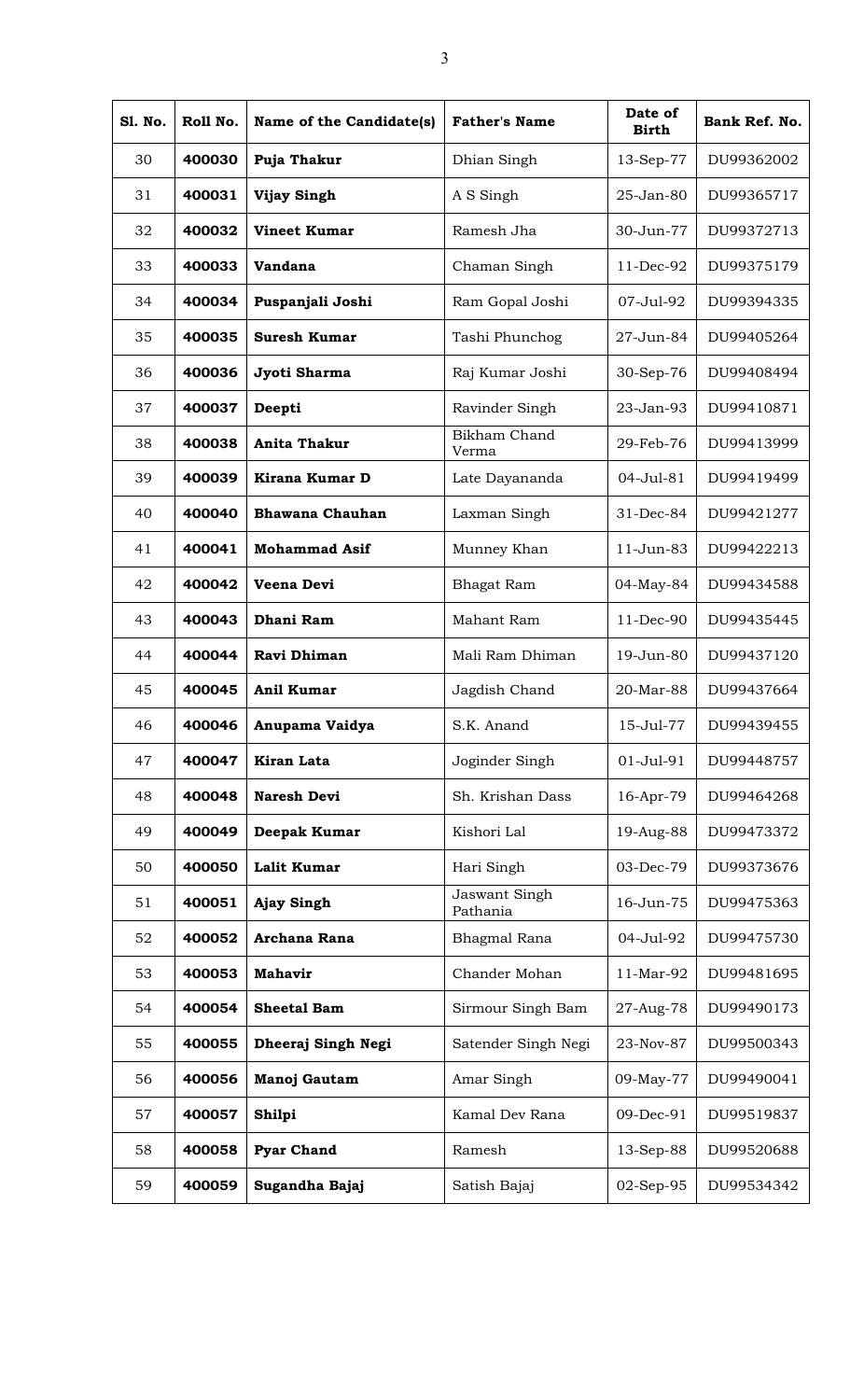| <b>S1. No.</b> | Roll No. | Name of the Candidate(s) | <b>Father's Name</b>      | Date of<br><b>Birth</b> | Bank Ref. No. |
|----------------|----------|--------------------------|---------------------------|-------------------------|---------------|
| 30             | 400030   | Puja Thakur              | Dhian Singh               | 13-Sep-77               | DU99362002    |
| 31             | 400031   | <b>Vijay Singh</b>       | A S Singh                 | 25-Jan-80               | DU99365717    |
| 32             | 400032   | <b>Vineet Kumar</b>      | Ramesh Jha                | 30-Jun-77               | DU99372713    |
| 33             | 400033   | <b>Vandana</b>           | Chaman Singh              | 11-Dec-92               | DU99375179    |
| 34             | 400034   | Puspanjali Joshi         | Ram Gopal Joshi           | 07-Jul-92               | DU99394335    |
| 35             | 400035   | <b>Suresh Kumar</b>      | Tashi Phunchog            | 27-Jun-84               | DU99405264    |
| 36             | 400036   | Jyoti Sharma             | Raj Kumar Joshi           | 30-Sep-76               | DU99408494    |
| 37             | 400037   | Deepti                   | Ravinder Singh            | 23-Jan-93               | DU99410871    |
| 38             | 400038   | <b>Anita Thakur</b>      | Bikham Chand<br>Verma     | 29-Feb-76               | DU99413999    |
| 39             | 400039   | Kirana Kumar D           | Late Dayananda            | 04-Jul-81               | DU99419499    |
| 40             | 400040   | Bhawana Chauhan          | Laxman Singh              | 31-Dec-84               | DU99421277    |
| 41             | 400041   | <b>Mohammad Asif</b>     | Munney Khan               | 11-Jun-83               | DU99422213    |
| 42             | 400042   | Veena Devi               | <b>Bhagat Ram</b>         | 04-May-84               | DU99434588    |
| 43             | 400043   | Dhani Ram                | Mahant Ram                | 11-Dec-90               | DU99435445    |
| 44             | 400044   | Ravi Dhiman              | Mali Ram Dhiman           | 19-Jun-80               | DU99437120    |
| 45             | 400045   | <b>Anil Kumar</b>        | Jagdish Chand             | 20-Mar-88               | DU99437664    |
| 46             | 400046   | Anupama Vaidya           | S.K. Anand                | 15-Jul-77               | DU99439455    |
| 47             | 400047   | <b>Kiran Lata</b>        | Joginder Singh            | 01-Jul-91               | DU99448757    |
| 48             | 400048   | <b>Naresh Devi</b>       | Sh. Krishan Dass          | 16-Apr-79               | DU99464268    |
| 49             | 400049   | Deepak Kumar             | Kishori Lal               | 19-Aug-88               | DU99473372    |
| 50             | 400050   | Lalit Kumar              | Hari Singh                | 03-Dec-79               | DU99373676    |
| 51             | 400051   | <b>Ajay Singh</b>        | Jaswant Singh<br>Pathania | 16-Jun-75               | DU99475363    |
| 52             | 400052   | Archana Rana             | <b>Bhagmal Rana</b>       | 04-Jul-92               | DU99475730    |
| 53             | 400053   | <b>Mahavir</b>           | Chander Mohan             | 11-Mar-92               | DU99481695    |
| 54             | 400054   | <b>Sheetal Bam</b>       | Sirmour Singh Bam         | 27-Aug-78               | DU99490173    |
| 55             | 400055   | Dheeraj Singh Negi       | Satender Singh Negi       | 23-Nov-87               | DU99500343    |
| 56             | 400056   | Manoj Gautam             | Amar Singh                | 09-May-77               | DU99490041    |
| 57             | 400057   | Shilpi                   | Kamal Dev Rana            | 09-Dec-91               | DU99519837    |
| 58             | 400058   | <b>Pyar Chand</b>        | Ramesh                    | 13-Sep-88               | DU99520688    |
| 59             | 400059   | Sugandha Bajaj           | Satish Bajaj              | 02-Sep-95               | DU99534342    |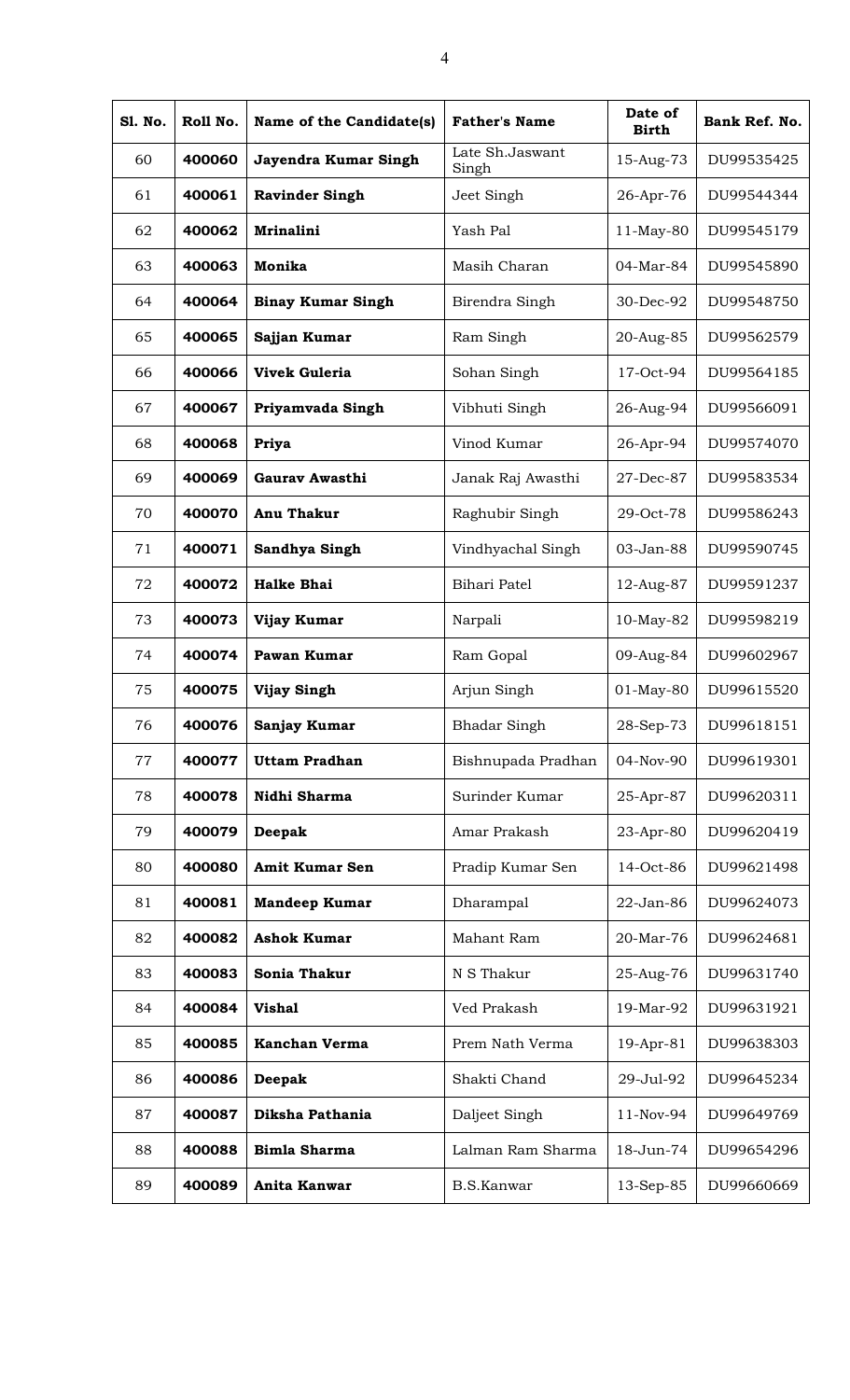| <b>S1. No.</b> | Roll No. | Name of the Candidate(s) | <b>Father's Name</b>     | Date of<br><b>Birth</b> | Bank Ref. No. |
|----------------|----------|--------------------------|--------------------------|-------------------------|---------------|
| 60             | 400060   | Jayendra Kumar Singh     | Late Sh.Jaswant<br>Singh | 15-Aug-73               | DU99535425    |
| 61             | 400061   | <b>Ravinder Singh</b>    | Jeet Singh               | 26-Apr-76               | DU99544344    |
| 62             | 400062   | <b>Mrinalini</b>         | Yash Pal                 | $11$ -May-80            | DU99545179    |
| 63             | 400063   | Monika                   | Masih Charan             | 04-Mar-84               | DU99545890    |
| 64             | 400064   | <b>Binay Kumar Singh</b> | Birendra Singh           | 30-Dec-92               | DU99548750    |
| 65             | 400065   | Sajjan Kumar             | Ram Singh                | 20-Aug-85               | DU99562579    |
| 66             | 400066   | <b>Vivek Guleria</b>     | Sohan Singh              | 17-Oct-94               | DU99564185    |
| 67             | 400067   | Priyamvada Singh         | Vibhuti Singh            | 26-Aug-94               | DU99566091    |
| 68             | 400068   | Priya                    | Vinod Kumar              | 26-Apr-94               | DU99574070    |
| 69             | 400069   | Gaurav Awasthi           | Janak Raj Awasthi        | 27-Dec-87               | DU99583534    |
| 70             | 400070   | Anu Thakur               | Raghubir Singh           | 29-Oct-78               | DU99586243    |
| 71             | 400071   | Sandhya Singh            | Vindhyachal Singh        | 03-Jan-88               | DU99590745    |
| 72             | 400072   | <b>Halke Bhai</b>        | Bihari Patel             | 12-Aug-87               | DU99591237    |
| 73             | 400073   | Vijay Kumar              | Narpali                  | 10-May-82               | DU99598219    |
| 74             | 400074   | Pawan Kumar              | Ram Gopal                | 09-Aug-84               | DU99602967    |
| 75             | 400075   | <b>Vijay Singh</b>       | Arjun Singh              | 01-May-80               | DU99615520    |
| 76             | 400076   | Sanjay Kumar             | <b>Bhadar Singh</b>      | 28-Sep-73               | DU99618151    |
| 77             | 400077   | <b>Uttam Pradhan</b>     | Bishnupada Pradhan       | 04-Nov-90               | DU99619301    |
| 78             | 400078   | Nidhi Sharma             | Surinder Kumar           | 25-Apr-87               | DU99620311    |
| 79             | 400079   | Deepak                   | Amar Prakash             | 23-Apr-80               | DU99620419    |
| 80             | 400080   | <b>Amit Kumar Sen</b>    | Pradip Kumar Sen         | 14-Oct-86               | DU99621498    |
| 81             | 400081   | <b>Mandeep Kumar</b>     | Dharampal                | 22-Jan-86               | DU99624073    |
| 82             | 400082   | <b>Ashok Kumar</b>       | Mahant Ram               | 20-Mar-76               | DU99624681    |
| 83             | 400083   | Sonia Thakur             | N S Thakur               | 25-Aug-76               | DU99631740    |
| 84             | 400084   | <b>Vishal</b>            | Ved Prakash              | 19-Mar-92               | DU99631921    |
| 85             | 400085   | <b>Kanchan Verma</b>     | Prem Nath Verma          | 19-Apr-81               | DU99638303    |
| 86             | 400086   | Deepak                   | Shakti Chand             | 29-Jul-92               | DU99645234    |
| 87             | 400087   | Diksha Pathania          | Daljeet Singh            | 11-Nov-94               | DU99649769    |
| 88             | 400088   | <b>Bimla Sharma</b>      | Lalman Ram Sharma        | 18-Jun-74               | DU99654296    |
| 89             | 400089   | Anita Kanwar             | <b>B.S.Kanwar</b>        | 13-Sep-85               | DU99660669    |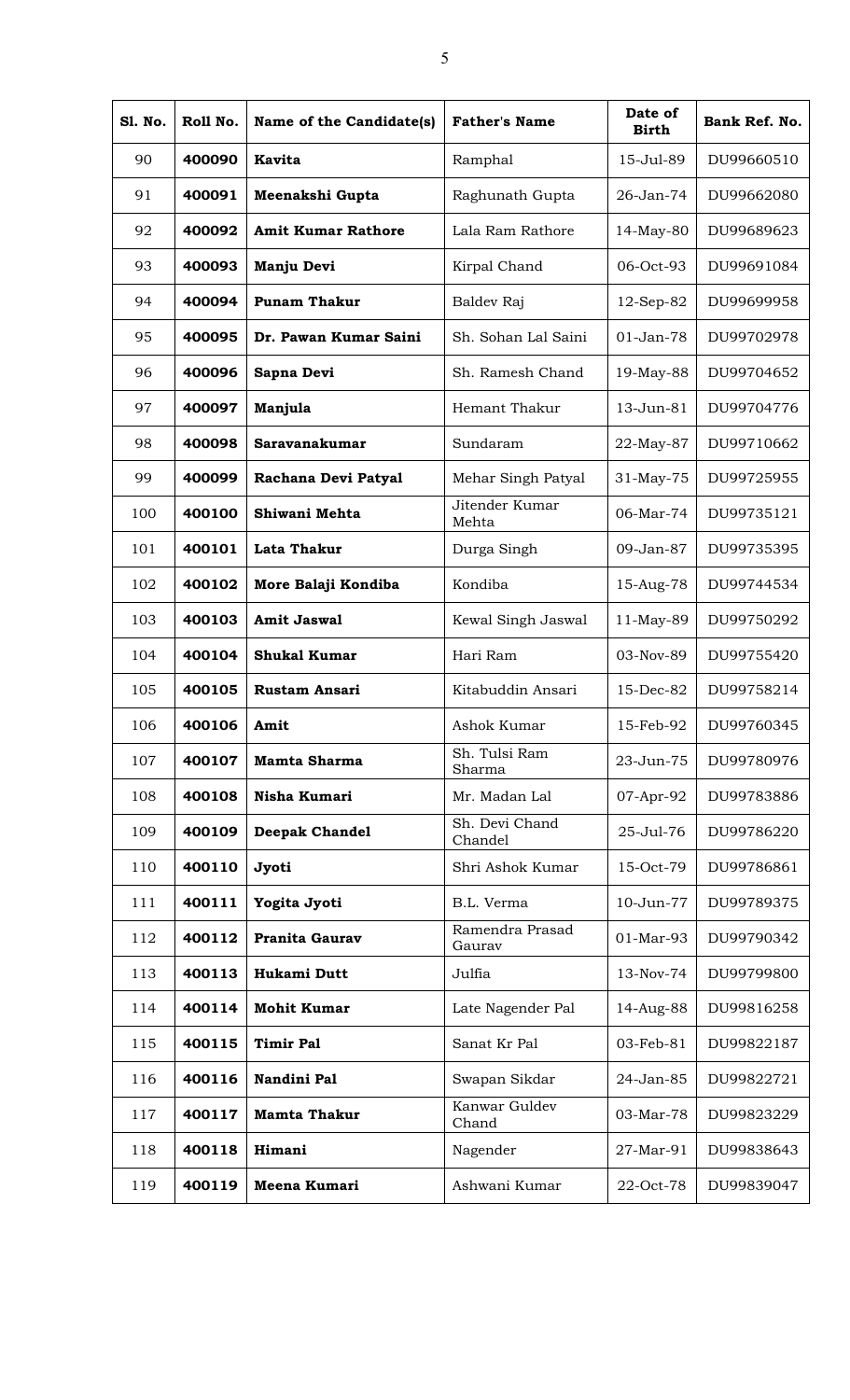| S1. No. | Roll No. | Name of the Candidate(s)  | <b>Father's Name</b>      | Date of<br><b>Birth</b> | Bank Ref. No. |
|---------|----------|---------------------------|---------------------------|-------------------------|---------------|
| 90      | 400090   | <b>Kavita</b>             | Ramphal                   | 15-Jul-89               | DU99660510    |
| 91      | 400091   | Meenakshi Gupta           | Raghunath Gupta           | 26-Jan-74               | DU99662080    |
| 92      | 400092   | <b>Amit Kumar Rathore</b> | Lala Ram Rathore          | 14-May-80               | DU99689623    |
| 93      | 400093   | Manju Devi                | Kirpal Chand              | 06-Oct-93               | DU99691084    |
| 94      | 400094   | <b>Punam Thakur</b>       | Baldev Raj                | 12-Sep-82               | DU99699958    |
| 95      | 400095   | Dr. Pawan Kumar Saini     | Sh. Sohan Lal Saini       | 01-Jan-78               | DU99702978    |
| 96      | 400096   | Sapna Devi                | Sh. Ramesh Chand          | 19-May-88               | DU99704652    |
| 97      | 400097   | Manjula                   | Hemant Thakur             | 13-Jun-81               | DU99704776    |
| 98      | 400098   | Saravanakumar             | Sundaram                  | 22-May-87               | DU99710662    |
| 99      | 400099   | Rachana Devi Patyal       | Mehar Singh Patyal        | 31-May-75               | DU99725955    |
| 100     | 400100   | Shiwani Mehta             | Jitender Kumar<br>Mehta   | 06-Mar-74               | DU99735121    |
| 101     | 400101   | Lata Thakur               | Durga Singh               | 09-Jan-87               | DU99735395    |
| 102     | 400102   | More Balaji Kondiba       | Kondiba                   | 15-Aug-78               | DU99744534    |
| 103     | 400103   | <b>Amit Jaswal</b>        | Kewal Singh Jaswal        | 11-May-89               | DU99750292    |
| 104     | 400104   | <b>Shukal Kumar</b>       | Hari Ram                  | 03-Nov-89               | DU99755420    |
| 105     | 400105   | <b>Rustam Ansari</b>      | Kitabuddin Ansari         | 15-Dec-82               | DU99758214    |
| 106     | 400106   | Amit                      | Ashok Kumar               | 15-Feb-92               | DU99760345    |
| 107     | 400107   | <b>Mamta Sharma</b>       | Sh. Tulsi Ram<br>Sharma   | 23-Jun-75               | DU99780976    |
| 108     | 400108   | Nisha Kumari              | Mr. Madan Lal             | 07-Apr-92               | DU99783886    |
| 109     | 400109   | <b>Deepak Chandel</b>     | Sh. Devi Chand<br>Chandel | 25-Jul-76               | DU99786220    |
| 110     | 400110   | Jyoti                     | Shri Ashok Kumar          | 15-Oct-79               | DU99786861    |
| 111     | 400111   | Yogita Jyoti              | B.L. Verma                | 10-Jun-77               | DU99789375    |
| 112     | 400112   | Pranita Gaurav            | Ramendra Prasad<br>Gaurav | 01-Mar-93               | DU99790342    |
| 113     | 400113   | Hukami Dutt               | Julfia                    | 13-Nov-74               | DU99799800    |
| 114     | 400114   | <b>Mohit Kumar</b>        | Late Nagender Pal         | 14-Aug-88               | DU99816258    |
| 115     | 400115   | <b>Timir Pal</b>          | Sanat Kr Pal              | 03-Feb-81               | DU99822187    |
| 116     | 400116   | Nandini Pal               | Swapan Sikdar             | 24-Jan-85               | DU99822721    |
| 117     | 400117   | <b>Mamta Thakur</b>       | Kanwar Guldev<br>Chand    | 03-Mar-78               | DU99823229    |
| 118     | 400118   | Himani                    | Nagender                  | 27-Mar-91               | DU99838643    |
| 119     | 400119   | Meena Kumari              | Ashwani Kumar             | 22-Oct-78               | DU99839047    |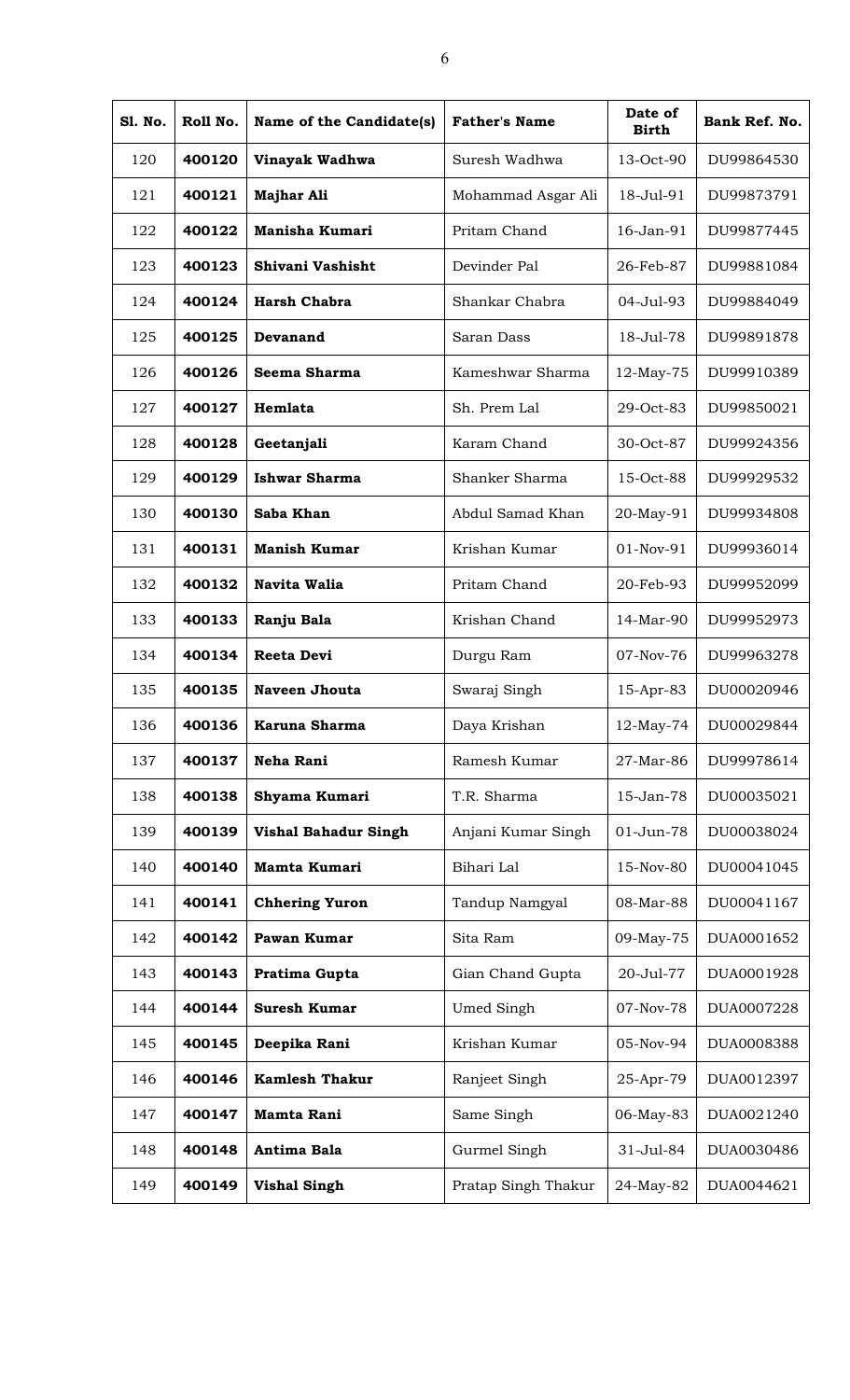| <b>S1. No.</b> | Roll No. | Name of the Candidate(s)    | <b>Father's Name</b> | Date of<br><b>Birth</b> | Bank Ref. No. |
|----------------|----------|-----------------------------|----------------------|-------------------------|---------------|
| 120            | 400120   | Vinayak Wadhwa              | Suresh Wadhwa        | 13-Oct-90               | DU99864530    |
| 121            | 400121   | <b>Majhar Ali</b>           | Mohammad Asgar Ali   | 18-Jul-91               | DU99873791    |
| 122            | 400122   | <b>Manisha Kumari</b>       | Pritam Chand         | 16-Jan-91               | DU99877445    |
| 123            | 400123   | Shivani Vashisht            | Devinder Pal         | 26-Feb-87               | DU99881084    |
| 124            | 400124   | <b>Harsh Chabra</b>         | Shankar Chabra       | 04-Jul-93               | DU99884049    |
| 125            | 400125   | Devanand                    | Saran Dass           | 18-Jul-78               | DU99891878    |
| 126            | 400126   | Seema Sharma                | Kameshwar Sharma     | 12-May-75               | DU99910389    |
| 127            | 400127   | Hemlata                     | Sh. Prem Lal         | 29-Oct-83               | DU99850021    |
| 128            | 400128   | Geetanjali                  | Karam Chand          | 30-Oct-87               | DU99924356    |
| 129            | 400129   | <b>Ishwar Sharma</b>        | Shanker Sharma       | 15-Oct-88               | DU99929532    |
| 130            | 400130   | Saba Khan                   | Abdul Samad Khan     | 20-May-91               | DU99934808    |
| 131            | 400131   | <b>Manish Kumar</b>         | Krishan Kumar        | 01-Nov-91               | DU99936014    |
| 132            | 400132   | <b>Navita Walia</b>         | Pritam Chand         | 20-Feb-93               | DU99952099    |
| 133            | 400133   | Ranju Bala                  | Krishan Chand        | 14-Mar-90               | DU99952973    |
| 134            | 400134   | <b>Reeta Devi</b>           | Durgu Ram            | 07-Nov-76               | DU99963278    |
| 135            | 400135   | <b>Naveen Jhouta</b>        | Swaraj Singh         | 15-Apr-83               | DU00020946    |
| 136            | 400136   | Karuna Sharma               | Daya Krishan         | 12-May-74               | DU00029844    |
| 137            | 400137   | Neha Rani                   | Ramesh Kumar         | 27-Mar-86               | DU99978614    |
| 138            | 400138   | Shyama Kumari               | T.R. Sharma          | 15-Jan-78               | DU00035021    |
| 139            | 400139   | <b>Vishal Bahadur Singh</b> | Anjani Kumar Singh   | 01-Jun-78               | DU00038024    |
| 140            | 400140   | Mamta Kumari                | Bihari Lal           | 15-Nov-80               | DU00041045    |
| 141            | 400141   | <b>Chhering Yuron</b>       | Tandup Namgyal       | 08-Mar-88               | DU00041167    |
| 142            | 400142   | Pawan Kumar                 | Sita Ram             | 09-May-75               | DUA0001652    |
| 143            | 400143   | Pratima Gupta               | Gian Chand Gupta     | 20-Jul-77               | DUA0001928    |
| 144            | 400144   | <b>Suresh Kumar</b>         | Umed Singh           | 07-Nov-78               | DUA0007228    |
| 145            | 400145   | Deepika Rani                | Krishan Kumar        | 05-Nov-94               | DUA0008388    |
| 146            | 400146   | <b>Kamlesh Thakur</b>       | Ranjeet Singh        | 25-Apr-79               | DUA0012397    |
| 147            | 400147   | <b>Mamta Rani</b>           | Same Singh           | 06-May-83               | DUA0021240    |
| 148            | 400148   | Antima Bala                 | Gurmel Singh         | 31-Jul-84               | DUA0030486    |
| 149            | 400149   | <b>Vishal Singh</b>         | Pratap Singh Thakur  | 24-May-82               | DUA0044621    |